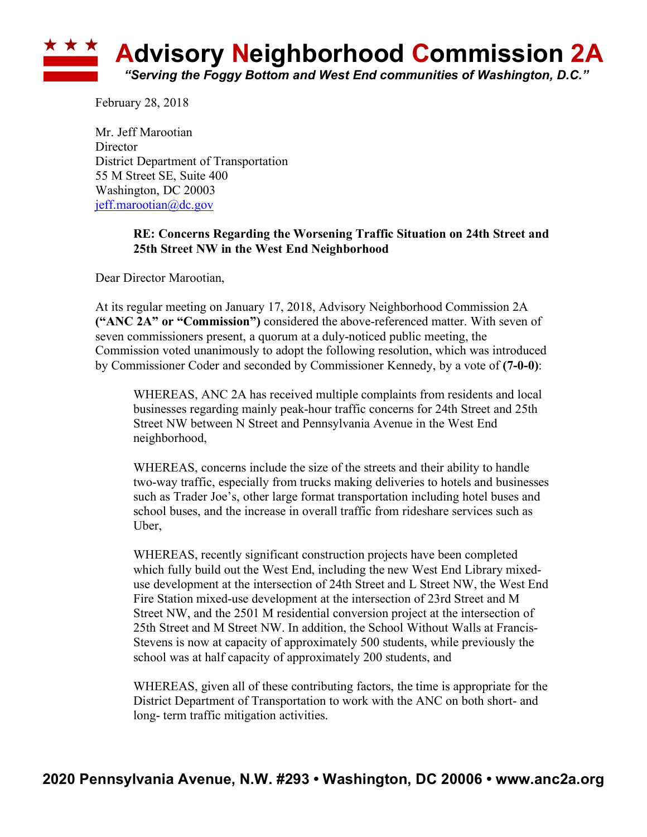

February 28, 2018

Mr. Jeff Marootian **Director** District Department of Transportation 55 M Street SE, Suite 400 Washington, DC 20003 jeff.marootian@dc.gov

## **RE: Concerns Regarding the Worsening Traffic Situation on 24th Street and 25th Street NW in the West End Neighborhood**

Dear Director Marootian,

At its regular meeting on January 17, 2018, Advisory Neighborhood Commission 2A **("ANC 2A" or "Commission")** considered the above-referenced matter. With seven of seven commissioners present, a quorum at a duly-noticed public meeting, the Commission voted unanimously to adopt the following resolution, which was introduced by Commissioner Coder and seconded by Commissioner Kennedy, by a vote of **(7-0-0)**:

WHEREAS, ANC 2A has received multiple complaints from residents and local businesses regarding mainly peak-hour traffic concerns for 24th Street and 25th Street NW between N Street and Pennsylvania Avenue in the West End neighborhood,

WHEREAS, concerns include the size of the streets and their ability to handle two-way traffic, especially from trucks making deliveries to hotels and businesses such as Trader Joe's, other large format transportation including hotel buses and school buses, and the increase in overall traffic from rideshare services such as Uber,

WHEREAS, recently significant construction projects have been completed which fully build out the West End, including the new West End Library mixeduse development at the intersection of 24th Street and L Street NW, the West End Fire Station mixed-use development at the intersection of 23rd Street and M Street NW, and the 2501 M residential conversion project at the intersection of 25th Street and M Street NW. In addition, the School Without Walls at Francis-Stevens is now at capacity of approximately 500 students, while previously the school was at half capacity of approximately 200 students, and

WHEREAS, given all of these contributing factors, the time is appropriate for the District Department of Transportation to work with the ANC on both short- and long- term traffic mitigation activities.